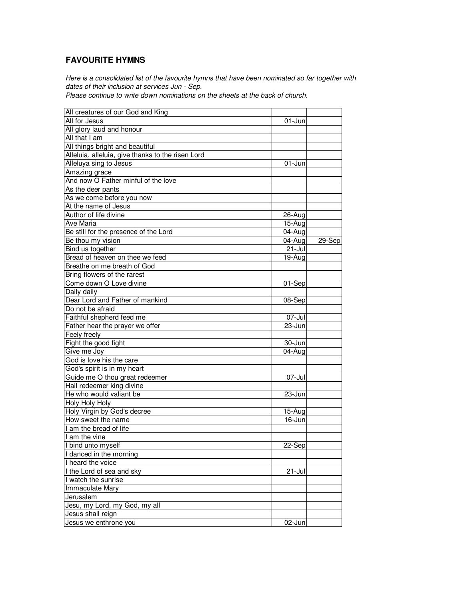## **FAVOURITE HYMNS**

Here is a consolidated list of the favourite hymns that have been nominated so far together with dates of their inclusion at services Jun - Sep.

Please continue to write down nominations on the sheets at the back of church.

| All creatures of our God and King                 |            |        |
|---------------------------------------------------|------------|--------|
| All for Jesus                                     | 01-Jun     |        |
| All glory laud and honour                         |            |        |
| All that I am                                     |            |        |
| All things bright and beautiful                   |            |        |
| Alleluia, alleluia, give thanks to the risen Lord |            |        |
| Alleluya sing to Jesus                            | $01$ -Jun  |        |
| Amazing grace                                     |            |        |
| And now O Father minful of the love               |            |        |
| As the deer pants                                 |            |        |
| As we come before you now                         |            |        |
| At the name of Jesus                              |            |        |
| Author of life divine                             | 26-Aug     |        |
| Ave Maria                                         | 15-Aug     |        |
| Be still for the presence of the Lord             | 04-Aug     |        |
| Be thou my vision                                 | 04-Aug     | 29-Sep |
| Bind us together                                  | 21-Jul     |        |
| Bread of heaven on thee we feed                   | 19-Aug     |        |
| Breathe on me breath of God                       |            |        |
| Bring flowers of the rarest                       |            |        |
| Come down O Love divine                           |            |        |
|                                                   | 01-Sep     |        |
| Daily daily<br>Dear Lord and Father of mankind    |            |        |
|                                                   | 08-Sep     |        |
| Do not be afraid                                  |            |        |
| Faithful shepherd feed me                         | 07-Jul     |        |
| Father hear the prayer we offer                   | 23-Jun     |        |
| Feely freely                                      |            |        |
| Fight the good fight                              | 30-Jun     |        |
| Give me Joy                                       | 04-Aug     |        |
| God is love his the care                          |            |        |
| God's spirit is in my heart                       |            |        |
| Guide me O thou great redeemer                    | 07-Jul     |        |
| Hail redeemer king divine                         |            |        |
| He who would valiant be                           | 23-Jun     |        |
| Holy Holy Holy                                    |            |        |
| Holy Virgin by God's decree                       | 15-Aug     |        |
| How sweet the name                                | 16-Jun     |        |
| I am the bread of life                            |            |        |
| I am the vine                                     |            |        |
| I bind unto myself                                | 22-Sepl    |        |
| I danced in the morning                           |            |        |
| I heard the voice                                 |            |        |
| I the Lord of sea and sky                         | $21 -$ Jul |        |
| I watch the sunrise                               |            |        |
| Immaculate Mary                                   |            |        |
| Jerusalem                                         |            |        |
| Jesu, my Lord, my God, my all                     |            |        |
| Jesus shall reign                                 |            |        |
| Jesus we enthrone you                             | 02-Jun     |        |